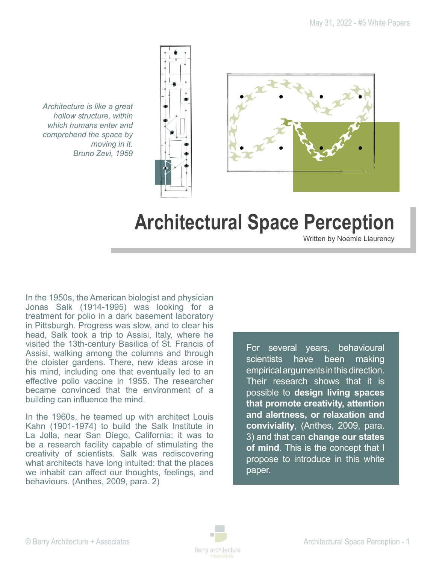

*Architecture is like a great hollow structure, within which humans enter and comprehend the space by moving in it. Bruno Zevi, 1959*

# **Architectural Space Perception**

Written by Noemie Llaurency

In the 1950s, the American biologist and physician Jonas Salk (1914-1995) was looking for a treatment for polio in a dark basement laboratory in Pittsburgh. Progress was slow, and to clear his head, Salk took a trip to Assisi, Italy, where he visited the 13th-century Basilica of St. Francis of Assisi, walking among the columns and through the cloister gardens. There, new ideas arose in his mind, including one that eventually led to an effective polio vaccine in 1955. The researcher became convinced that the environment of a building can influence the mind.

In the 1960s, he teamed up with architect Louis Kahn (1901-1974) to build the Salk Institute in La Jolla, near San Diego, California; it was to be a research facility capable of stimulating the creativity of scientists. Salk was rediscovering what architects have long intuited: that the places we inhabit can affect our thoughts, feelings, and behaviours. (Anthes, 2009, para. 2)

For several years, behavioural scientists have been making empirical arguments in this direction. Their research shows that it is possible to **design living spaces that promote creativity, attention and alertness, or relaxation and conviviality**, (Anthes, 2009, para. 3) and that can **change our states of mind**. This is the concept that I propose to introduce in this white paper.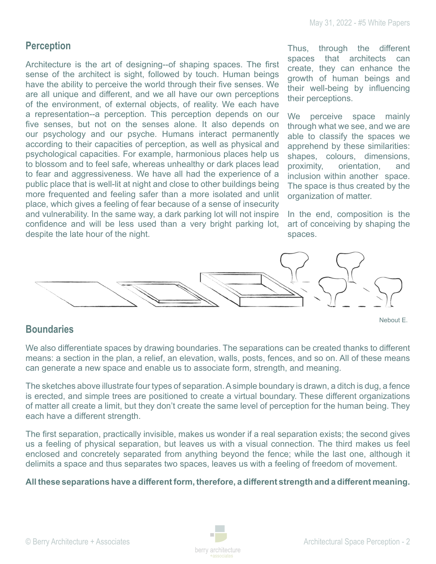## **Perception**

Architecture is the art of designing--of shaping spaces. The first sense of the architect is sight, followed by touch. Human beings have the ability to perceive the world through their five senses. We are all unique and different, and we all have our own perceptions of the environment, of external objects, of reality. We each have a representation--a perception. This perception depends on our five senses, but not on the senses alone. It also depends on our psychology and our psyche. Humans interact permanently according to their capacities of perception, as well as physical and psychological capacities. For example, harmonious places help us to blossom and to feel safe, whereas unhealthy or dark places lead to fear and aggressiveness. We have all had the experience of a public place that is well-lit at night and close to other buildings being more frequented and feeling safer than a more isolated and unlit place, which gives a feeling of fear because of a sense of insecurity and vulnerability. In the same way, a dark parking lot will not inspire confidence and will be less used than a very bright parking lot, despite the late hour of the night.

Thus, through the different spaces that architects can create, they can enhance the growth of human beings and their well-being by influencing their perceptions.

We perceive space mainly through what we see, and we are able to classify the spaces we apprehend by these similarities: shapes, colours, dimensions, proximity, orientation, and inclusion within another space. The space is thus created by the organization of matter.

In the end, composition is the art of conceiving by shaping the spaces.

Nebout E.



# **Boundaries**

We also differentiate spaces by drawing boundaries. The separations can be created thanks to different means: a section in the plan, a relief, an elevation, walls, posts, fences, and so on. All of these means can generate a new space and enable us to associate form, strength, and meaning.

The sketches above illustrate four types of separation. A simple boundary is drawn, a ditch is dug, a fence is erected, and simple trees are positioned to create a virtual boundary. These different organizations of matter all create a limit, but they don't create the same level of perception for the human being. They each have a different strength.

The first separation, practically invisible, makes us wonder if a real separation exists; the second gives us a feeling of physical separation, but leaves us with a visual connection. The third makes us feel enclosed and concretely separated from anything beyond the fence; while the last one, although it delimits a space and thus separates two spaces, leaves us with a feeling of freedom of movement.

#### **All these separations have a different form, therefore, a different strength and a different meaning.**